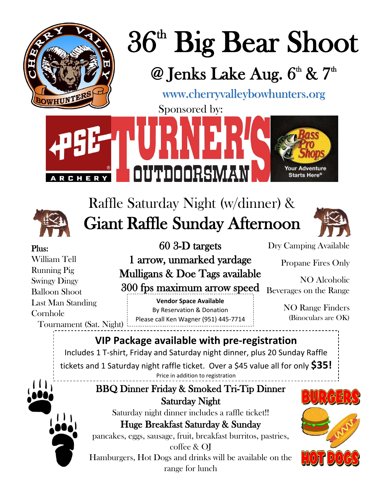



# Raffle Saturday Night (w/dinner) & Giant Raffle Sunday Afternoon



#### Plus:

William Tell Running Pig Swingy Dingy Balloon Shoot Last Man Standing Cornhole Tournament (Sat. Night)

#### 60 3-D targets

1 arrow, unmarked yardage Mulligans & Doe Tags available 300 fps maximum arrow speed

**Vendor Space Available** By Reservation & Donation Please call Ken Wagner (951) 445-7714 Dry Camping Available

Propane Fires Only

NO Alcoholic Beverages on the Range

> NO Range Finders (Binoculars are OK)

### **VIP Package available with pre-registration**

Includes 1 T-shirt, Friday and Saturday night dinner, plus 20 Sunday Raffle tickets and 1 Saturday night raffle ticket. Over a \$45 value all for only **\$35!** Price in addition to registration

## BBQ Dinner Friday & Smoked Tri-Tip Dinner Saturday Night

Saturday night dinner includes a raffle ticket!! Huge Breakfast Saturday & Sunday

pancakes, eggs, sausage, fruit, breakfast burritos, pastries,

coffee & OJ Hamburgers, Hot Dogs and drinks will be available on the range for lunch